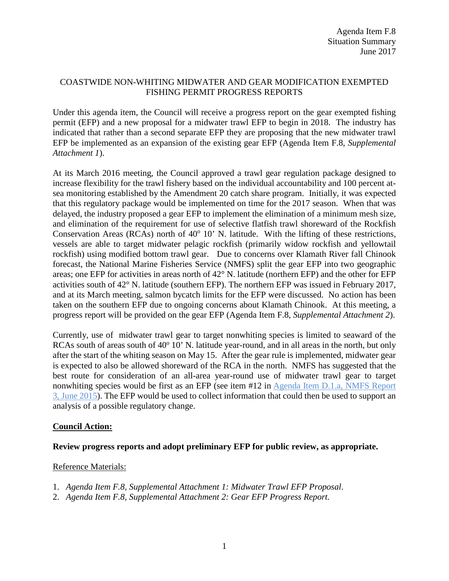## COASTWIDE NON-WHITING MIDWATER AND GEAR MODIFICATION EXEMPTED FISHING PERMIT PROGRESS REPORTS

Under this agenda item, the Council will receive a progress report on the gear exempted fishing permit (EFP) and a new proposal for a midwater trawl EFP to begin in 2018. The industry has indicated that rather than a second separate EFP they are proposing that the new midwater trawl EFP be implemented as an expansion of the existing gear EFP (Agenda Item F.8, *Supplemental Attachment 1*).

At its March 2016 meeting, the Council approved a trawl gear regulation package designed to increase flexibility for the trawl fishery based on the individual accountability and 100 percent atsea monitoring established by the Amendment 20 catch share program. Initially, it was expected that this regulatory package would be implemented on time for the 2017 season. When that was delayed, the industry proposed a gear EFP to implement the elimination of a minimum mesh size, and elimination of the requirement for use of selective flatfish trawl shoreward of the Rockfish Conservation Areas (RCAs) north of  $40^{\circ}$  10' N. latitude. With the lifting of these restrictions, vessels are able to target midwater pelagic rockfish (primarily widow rockfish and yellowtail rockfish) using modified bottom trawl gear. Due to concerns over Klamath River fall Chinook forecast, the National Marine Fisheries Service (NMFS) split the gear EFP into two geographic areas; one EFP for activities in areas north of 42° N. latitude (northern EFP) and the other for EFP activities south of 42° N. latitude (southern EFP). The northern EFP was issued in February 2017, and at its March meeting, salmon bycatch limits for the EFP were discussed. No action has been taken on the southern EFP due to ongoing concerns about Klamath Chinook. At this meeting, a progress report will be provided on the gear EFP (Agenda Item F.8, *Supplemental Attachment 2*).

Currently, use of midwater trawl gear to target nonwhiting species is limited to seaward of the RCAs south of areas south of  $40^{\circ}$  10' N. latitude year-round, and in all areas in the north, but only after the start of the whiting season on May 15. After the gear rule is implemented, midwater gear is expected to also be allowed shoreward of the RCA in the north. NMFS has suggested that the best route for consideration of an all-area year-round use of midwater trawl gear to target nonwhiting species would be first as an EFP (see item #12 in [Agenda Item D.1.a,](http://www.pcouncil.org/wp-content/uploads/2015/05/D1a_NMFS_Rpt3_Packaging_JUN2015BB.pdf) NMFS Report [3, June 2015\)](http://www.pcouncil.org/wp-content/uploads/2015/05/D1a_NMFS_Rpt3_Packaging_JUN2015BB.pdf). The EFP would be used to collect information that could then be used to support an analysis of a possible regulatory change.

## **Council Action:**

# **Review progress reports and adopt preliminary EFP for public review, as appropriate.**

## Reference Materials:

- 1. *Agenda Item F.8, Supplemental Attachment 1: Midwater Trawl EFP Proposal*.
- 2. *Agenda Item F.8, Supplemental Attachment 2: Gear EFP Progress Report.*